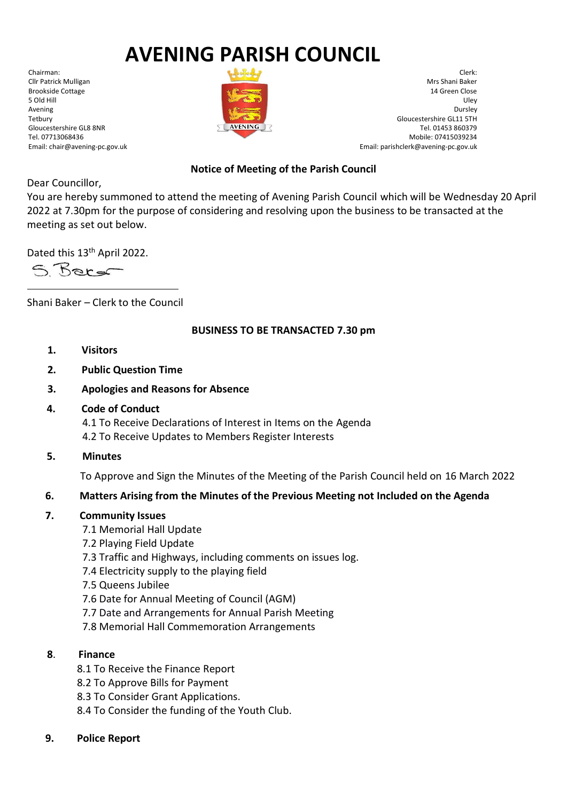# **AVENING PARISH COUNCIL**

Chairman: Cllr Patrick Mulligan Brookside Cottage 5 Old Hill Avening Tetbury Gloucestershire GL8 8NR Tel. 07713068436 Email: chair@avening-pc.gov.uk



Clerk: Mrs Shani Baker 14 Green Close Uley Dursley Gloucestershire GL11 5TH Tel. 01453 860379 Mobile: 07415039234 Email: parishclerk@avening-pc.gov.uk

### **Notice of Meeting of the Parish Council**

Dear Councillor,

You are hereby summoned to attend the meeting of Avening Parish Council which will be Wednesday 20 April 2022 at 7.30pm for the purpose of considering and resolving upon the business to be transacted at the meeting as set out below.

Dated this 13<sup>th</sup> April 2022.

5 Baro

Shani Baker – Clerk to the Council

# **BUSINESS TO BE TRANSACTED 7.30 pm**

- **1. Visitors**
- **2. Public Question Time**
- **3. Apologies and Reasons for Absence**
- **4. Code of Conduct**

 4.1 To Receive Declarations of Interest in Items on the Agenda 4.2 To Receive Updates to Members Register Interests

**5. Minutes**

To Approve and Sign the Minutes of the Meeting of the Parish Council held on 16 March 2022

# **6. Matters Arising from the Minutes of the Previous Meeting not Included on the Agenda**

# **7. Community Issues**

- 7.1 Memorial Hall Update
- 7.2 Playing Field Update
- 7.3 Traffic and Highways, including comments on issues log.
- 7.4 Electricity supply to the playing field
- 7.5 Queens Jubilee
- 7.6 Date for Annual Meeting of Council (AGM)
- 7.7 Date and Arrangements for Annual Parish Meeting
- 7.8 Memorial Hall Commemoration Arrangements

# **8**. **Finance**

- 8.1 To Receive the Finance Report
- 8.2 To Approve Bills for Payment
- 8.3 To Consider Grant Applications.
- 8.4 To Consider the funding of the Youth Club.
- **9. Police Report**